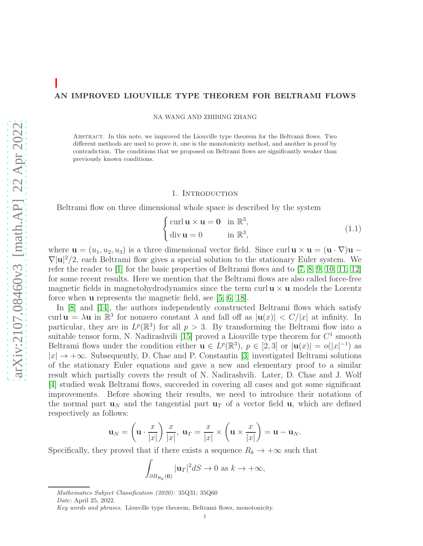### AN IMPROVED LIOUVILLE TYPE THEOREM FOR BELTRAMI FLOWS

NA WANG AND ZHIBING ZHANG

Abstract. In this note, we improved the Liouville type theorem for the Beltrami flows. Two different methods are used to prove it, one is the monotonicity method, and another is proof by contradiction. The conditions that we proposed on Beltrami flows are significantly weaker than previously known conditions.

## 1. INTRODUCTION

Beltrami flow on three dimensional whole space is described by the system

<span id="page-0-0"></span>
$$
\begin{cases}\n\operatorname{curl} \mathbf{u} \times \mathbf{u} = \mathbf{0} & \text{in } \mathbb{R}^3, \\
\operatorname{div} \mathbf{u} = 0 & \text{in } \mathbb{R}^3,\n\end{cases}
$$
\n(1.1)

where  $\mathbf{u} = (u_1, u_2, u_3)$  is a three dimensional vector field. Since curl  $\mathbf{u} \times \mathbf{u} = (\mathbf{u} \cdot \nabla)\mathbf{u} \nabla |\mathbf{u}|^2/2$ , each Beltrami flow gives a special solution to the stationary Euler system. We refer the reader to [\[1\]](#page-9-0) for the basic properties of Beltrami flows and to [\[7,](#page-9-1) [8,](#page-9-2) [9,](#page-9-3) [10,](#page-9-4) [11,](#page-9-5) [12\]](#page-9-6) for some recent results. Here we mention that the Beltrami flows are also called force-free magnetic fields in magnetohydrodynamics since the term curl  $\mathbf{u} \times \mathbf{u}$  models the Lorentz force when u represents the magnetic field, see [\[5,](#page-9-7) [6,](#page-9-8) [18\]](#page-9-9).

In [\[8\]](#page-9-2) and [\[14\]](#page-9-10), the authors independently constructed Beltrami flows which satisfy curl  $\mathbf{u} = \lambda \mathbf{u}$  in  $\mathbb{R}^3$  for nonzero constant  $\lambda$  and fall off as  $|\mathbf{u}(x)| < C/|x|$  at infinity. In particular, they are in  $L^p(\mathbb{R}^3)$  for all  $p > 3$ . By transforming the Beltrami flow into a suitable tensor form, N. Nadirashvili [\[15\]](#page-9-11) proved a Liouville type theorem for  $C^1$  smooth Beltrami flows under the condition either  $\mathbf{u} \in L^p(\mathbb{R}^3)$ ,  $p \in [2,3]$  or  $|\mathbf{u}(x)| = o(|x|^{-1})$  as  $|x| \to +\infty$ . Subsequently, D. Chae and P. Constantin [\[3\]](#page-9-12) investigated Beltrami solutions of the stationary Euler equations and gave a new and elementary proof to a similar result which partially covers the result of N. Nadirashvili. Later, D. Chae and J. Wolf [\[4\]](#page-9-13) studied weak Beltrami flows, succeeded in covering all cases and got some significant improvements. Before showing their results, we need to introduce their notations of the normal part  $\mathbf{u}_N$  and the tangential part  $\mathbf{u}_T$  of a vector field **u**, which are defined respectively as follows:

$$
\mathbf{u}_N = \left(\mathbf{u} \cdot \frac{x}{|x|}\right) \frac{x}{|x|}, \ \mathbf{u}_T = \frac{x}{|x|} \times \left(\mathbf{u} \times \frac{x}{|x|}\right) = \mathbf{u} - \mathbf{u}_N.
$$

Specifically, they proved that if there exists a sequence  $R_k \to +\infty$  such that

$$
\int_{\partial B_{R_k}(\mathbf{0})} |\mathbf{u}_T|^2 dS \to 0 \text{ as } k \to +\infty,
$$

Mathematics Subject Classification (2020): 35Q31; 35Q60

Date: April 25, 2022.

Key words and phrases. Liouville type theorem, Beltrami flows, monotonicity.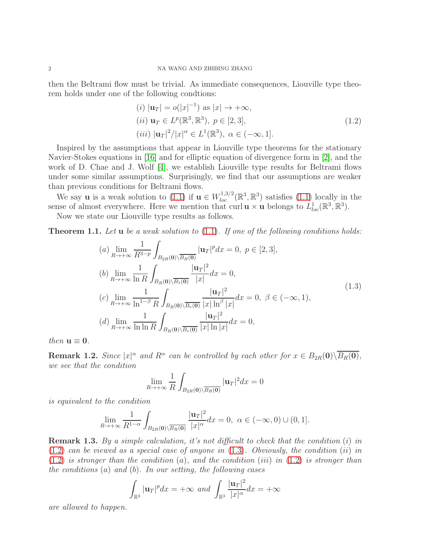then the Beltrami flow must be trivial. As immediate consequences, Liouville type theorem holds under one of the following condtions:

<span id="page-1-0"></span>
$$
(i) |u_T| = o(|x|^{-1}) \text{ as } |x| \to +\infty,
$$
  
\n
$$
(ii) u_T \in L^p(\mathbb{R}^3, \mathbb{R}^3), \ p \in [2, 3],
$$
  
\n
$$
(iii) |u_T|^2/|x|^\alpha \in L^1(\mathbb{R}^3), \ \alpha \in (-\infty, 1].
$$
\n(1.2)

Inspired by the assumptions that appear in Liouville type theorems for the stationary Navier-Stokes equations in [\[16\]](#page-9-14) and for elliptic equation of divergence form in [\[2\]](#page-9-15), and the work of D. Chae and J. Wolf [\[4\]](#page-9-13), we establish Liouville type results for Beltrami flows under some similar assumptions. Surprisingly, we find that our assumptions are weaker than previous conditions for Beltrami flows.

We say **u** is a weak solution to [\(1.1\)](#page-0-0) if  $\mathbf{u} \in W_{loc}^{1,3/2}(\mathbb{R}^3, \mathbb{R}^3)$  satisfies (1.1) locally in the sense of almost everywhere. Here we mention that curl  $\mathbf{u} \times \mathbf{u}$  belongs to  $\hat{L}_{loc}^1(\mathbb{R}^3, \mathbb{R}^3)$ .

Now we state our Liouville type results as follows.

<span id="page-1-2"></span>**Theorem 1.1.** Let **u** be a weak solution to  $(1.1)$ . If one of the following conditions holds:

<span id="page-1-1"></span>(a) 
$$
\lim_{R \to +\infty} \frac{1}{R^{3-p}} \int_{B_{2R}(0) \setminus \overline{B_R(0)}} |\mathbf{u}_T|^p dx = 0, \ p \in [2, 3],
$$
  
\n(b)  $\lim_{R \to +\infty} \frac{1}{\ln R} \int_{B_R(0) \setminus \overline{B_1(0)}} \frac{|\mathbf{u}_T|^2}{|x|} dx = 0,$   
\n(c)  $\lim_{R \to +\infty} \frac{1}{\ln^{1-\beta} R} \int_{B_R(0) \setminus \overline{B_e(0)}} \frac{|\mathbf{u}_T|^2}{|x| \ln^{\beta} |x|} dx = 0, \ \beta \in (-\infty, 1),$   
\n(d)  $\lim_{R \to +\infty} \frac{1}{\ln \ln R} \int_{B_R(0) \setminus \overline{B_e(0)}} \frac{|\mathbf{u}_T|^2}{|x| \ln |x|} dx = 0,$  (1.3)

then  $\mathbf{u} \equiv \mathbf{0}$ .

**Remark 1.2.** Since  $|x|^{\alpha}$  and  $R^{\alpha}$  can be controlled by each other for  $x \in B_{2R}(0) \setminus \overline{B_R(0)}$ , we see that the condition

$$
\lim_{R \to +\infty} \frac{1}{R} \int_{B_{2R}(\mathbf{0}) \setminus \overline{B_R(\mathbf{0})}} |\mathbf{u}_T|^2 dx = 0
$$

is equivalent to the condition

$$
\lim_{R\to+\infty}\frac{1}{R^{1-\alpha}}\int_{B_{2R}(\mathbf{0})\setminus\overline{B_R(\mathbf{0})}}\frac{|\mathbf{u}_T|^2}{|x|^{\alpha}}dx=0, \ \alpha\in(-\infty,0)\cup(0,1].
$$

Remark 1.3. By a simple calculation, it's not difficult to check that the condition (i) in  $(1.2)$  can be viewed as a special case of anyone in  $(1.3)$ . Obviously, the condition  $(ii)$  in  $(1.2)$  is stronger than the condition  $(a)$ , and the condition  $(iii)$  in  $(1.2)$  is stronger than the conditions  $(a)$  and  $(b)$ . In our setting, the following cases

$$
\int_{\mathbb{R}^3} |\mathbf{u}_T|^p dx = +\infty \text{ and } \int_{\mathbb{R}^3} \frac{|\mathbf{u}_T|^2}{|x|^\alpha} dx = +\infty
$$

are allowed to happen.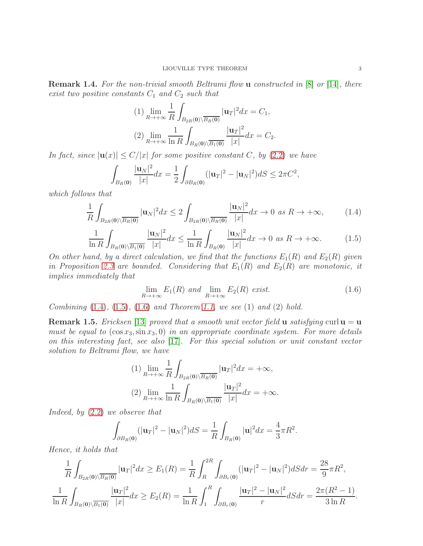Remark 1.4. For the non-trivial smooth Beltrami flow **u** constructed in [\[8\]](#page-9-2) or [\[14\]](#page-9-10), there exist two positive constants  $C_1$  and  $C_2$  such that

(1) 
$$
\lim_{R \to +\infty} \frac{1}{R} \int_{B_{2R}(0) \setminus \overline{B_R(0)}} |\mathbf{u}_T|^2 dx = C_1,
$$
  
(2) 
$$
\lim_{R \to +\infty} \frac{1}{\ln R} \int_{B_R(0) \setminus \overline{B_1(0)}} \frac{|\mathbf{u}_T|^2}{|x|} dx = C_2.
$$

In fact, since  $|u(x)| \le C/|x|$  for some positive constant C, by [\(2.2\)](#page-3-0) we have

$$
\int_{B_R(0)} \frac{|\mathbf{u}_N|^2}{|x|} dx = \frac{1}{2} \int_{\partial B_R(0)} (|\mathbf{u}_T|^2 - |\mathbf{u}_N|^2) dS \le 2\pi C^2,
$$

which follows that

<span id="page-2-0"></span>
$$
\frac{1}{R} \int_{B_{2R}(0)\setminus\overline{B_R(0)}} |\mathbf{u}_N|^2 dx \le 2 \int_{B_{2R}(0)\setminus\overline{B_R(0)}} \frac{|\mathbf{u}_N|^2}{|x|} dx \to 0 \text{ as } R \to +\infty,
$$
 (1.4)

<span id="page-2-1"></span>
$$
\frac{1}{\ln R} \int_{B_R(0) \setminus \overline{B_1(0)}} \frac{|\mathbf{u}_N|^2}{|x|} dx \le \frac{1}{\ln R} \int_{B_R(0)} \frac{|\mathbf{u}_N|^2}{|x|} dx \to 0 \text{ as } R \to +\infty. \tag{1.5}
$$

On other hand, by a direct calculation, we find that the functions  $E_1(R)$  and  $E_2(R)$  given in Proposition [2.3](#page-5-0) are bounded. Considering that  $E_1(R)$  and  $E_2(R)$  are monotonic, it implies immediately that

<span id="page-2-2"></span>
$$
\lim_{R \to +\infty} E_1(R) \text{ and } \lim_{R \to +\infty} E_2(R) \text{ exist.} \tag{1.6}
$$

Combining  $(1.4)$ ,  $(1.5)$ ,  $(1.6)$  and Theorem [1.1,](#page-1-2) we see  $(1)$  and  $(2)$  hold.

**Remark 1.5.** Ericksen [\[13\]](#page-9-16) proved that a smooth unit vector field **u** satisfying curl  $\mathbf{u} = \mathbf{u}$ must be equal to  $(\cos x_3, \sin x_3, 0)$  in an appropriate coordinate system. For more details on this interesting fact, see also [\[17\]](#page-9-17). For this special solution or unit constant vector solution to Beltrami flow, we have

$$
(1) \lim_{R \to +\infty} \frac{1}{R} \int_{B_{2R}(\mathbf{0}) \setminus \overline{B_R(\mathbf{0})}} |\mathbf{u}_T|^2 dx = +\infty,
$$
  

$$
(2) \lim_{R \to +\infty} \frac{1}{\ln R} \int_{B_R(\mathbf{0}) \setminus \overline{B_1(\mathbf{0})}} \frac{|\mathbf{u}_T|^2}{|x|} dx = +\infty.
$$

Indeed, by [\(2.2\)](#page-3-0) we observe that

$$
\int_{\partial B_R(\mathbf{0})} (|\mathbf{u}_T|^2 - |\mathbf{u}_N|^2) dS = \frac{1}{R} \int_{B_R(\mathbf{0})} |\mathbf{u}|^2 dx = \frac{4}{3} \pi R^2.
$$

Hence, it holds that

$$
\frac{1}{R} \int_{B_{2R}(0)\setminus\overline{B_R(0)}} |\mathbf{u}_T|^2 dx \ge E_1(R) = \frac{1}{R} \int_R^{2R} \int_{\partial B_r(0)} (|\mathbf{u}_T|^2 - |\mathbf{u}_N|^2) dS dr = \frac{28}{9} \pi R^2,
$$
  

$$
\frac{1}{\ln R} \int_{B_R(0)\setminus\overline{B_1(0)}} \frac{|\mathbf{u}_T|^2}{|x|} dx \ge E_2(R) = \frac{1}{\ln R} \int_1^R \int_{\partial B_r(0)} \frac{|\mathbf{u}_T|^2 - |\mathbf{u}_N|^2}{r} dS dr = \frac{2\pi (R^2 - 1)}{3 \ln R}.
$$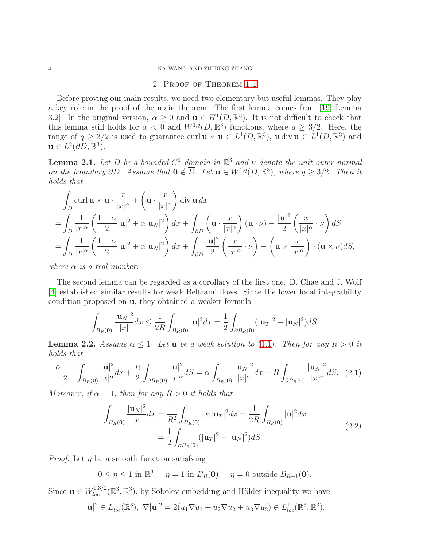#### 4 NA WANG AND ZHIBING ZHANG

# 2. Proof of Theorem [1.1](#page-1-2)

Before proving our main results, we need two elementary but useful lemmas. They play a key role in the proof of the main theorem. The first lemma comes from [\[19,](#page-9-18) Lemma 3.2. In the original version,  $\alpha \geq 0$  and  $\mathbf{u} \in H^1(D,\mathbb{R}^3)$ . It is not difficult to check that this lemma still holds for  $\alpha < 0$  and  $W^{1,q}(D, \mathbb{R}^3)$  functions, where  $q \geq 3/2$ . Here, the range of  $q \geq 3/2$  is used to guarantee curl  $\mathbf{u} \times \mathbf{u} \in L^1(D,\mathbb{R}^3)$ ,  $\mathbf{u}$  div  $\mathbf{u} \in L^1(D,\mathbb{R}^3)$  and  $\mathbf{u} \in L^2(\partial D,\mathbb{R}^3).$ 

<span id="page-3-1"></span>**Lemma 2.1.** Let D be a bounded  $C^1$  domain in  $\mathbb{R}^3$  and  $\nu$  denote the unit outer normal on the boundary  $\partial D$ . Assume that  $\mathbf{0} \notin \overline{D}$ . Let  $\mathbf{u} \in W^{1,q}(D,\mathbb{R}^3)$ , where  $q \geq 3/2$ . Then it holds that

$$
\int_{D} \text{curl } \mathbf{u} \times \mathbf{u} \cdot \frac{x}{|x|^{\alpha}} + \left(\mathbf{u} \cdot \frac{x}{|x|^{\alpha}}\right) \text{div } \mathbf{u} \, dx
$$
\n
$$
= \int_{D} \frac{1}{|x|^{\alpha}} \left(\frac{1-\alpha}{2} |\mathbf{u}|^2 + \alpha |\mathbf{u}_N|^2\right) dx + \int_{\partial D} \left(\mathbf{u} \cdot \frac{x}{|x|^{\alpha}}\right) (\mathbf{u} \cdot \nu) - \frac{|\mathbf{u}|^2}{2} \left(\frac{x}{|x|^{\alpha}} \cdot \nu\right) dS
$$
\n
$$
= \int_{D} \frac{1}{|x|^{\alpha}} \left(\frac{1-\alpha}{2} |\mathbf{u}|^2 + \alpha |\mathbf{u}_N|^2\right) dx + \int_{\partial D} \frac{|\mathbf{u}|^2}{2} \left(\frac{x}{|x|^{\alpha}} \cdot \nu\right) - \left(\mathbf{u} \times \frac{x}{|x|^{\alpha}}\right) \cdot (\mathbf{u} \times \nu) dS,
$$

where  $\alpha$  is a real number.

The second lemma can be regarded as a corollary of the first one. D. Chae and J. Wolf [\[4\]](#page-9-13) established similar results for weak Beltrami flows. Since the lower local integrability condition proposed on u, they obtained a weaker formula

$$
\int_{B_R(0)} \frac{|\mathbf{u}_N|^2}{|x|} dx \le \frac{1}{2R} \int_{B_R(0)} |\mathbf{u}|^2 dx = \frac{1}{2} \int_{\partial B_R(0)} (|\mathbf{u}_T|^2 - |\mathbf{u}_N|^2) dS.
$$

**Lemma 2.2.** Assume  $\alpha \leq 1$ . Let **u** be a weak solution to [\(1.1\)](#page-0-0). Then for any  $R > 0$  it holds that

<span id="page-3-2"></span>
$$
\frac{\alpha - 1}{2} \int_{B_R(0)} \frac{|\mathbf{u}|^2}{|x|^\alpha} dx + \frac{R}{2} \int_{\partial B_R(0)} \frac{|\mathbf{u}|^2}{|x|^\alpha} dS = \alpha \int_{B_R(0)} \frac{|\mathbf{u}_N|^2}{|x|^\alpha} dx + R \int_{\partial B_R(0)} \frac{|\mathbf{u}_N|^2}{|x|^\alpha} dS. \tag{2.1}
$$

Moreover, if  $\alpha = 1$ , then for any  $R > 0$  it holds that

<span id="page-3-0"></span>
$$
\int_{B_R(0)} \frac{|\mathbf{u}_N|^2}{|x|} dx = \frac{1}{R^2} \int_{B_R(0)} |x| |\mathbf{u}_T|^2 dx = \frac{1}{2R} \int_{B_R(0)} |\mathbf{u}|^2 dx
$$
\n
$$
= \frac{1}{2} \int_{\partial B_R(0)} (|\mathbf{u}_T|^2 - |\mathbf{u}_N|^2) dS.
$$
\n(2.2)

*Proof.* Let  $\eta$  be a smooth function satisfying

 $0 \le \eta \le 1$  in  $\mathbb{R}^3$ ,  $\eta = 1$  in  $B_R(0)$ ,  $\eta = 0$  outside  $B_{R+1}(0)$ .

Since  $\mathbf{u} \in W_{loc}^{1,3/2}(\mathbb{R}^3,\mathbb{R}^3)$ , by Sobolev embedding and Hölder inequality we have

$$
|\mathbf{u}|^2 \in L_{loc}^1(\mathbb{R}^3), \ \nabla |\mathbf{u}|^2 = 2(u_1 \nabla u_1 + u_2 \nabla u_2 + u_3 \nabla u_3) \in L_{loc}^1(\mathbb{R}^3, \mathbb{R}^3).
$$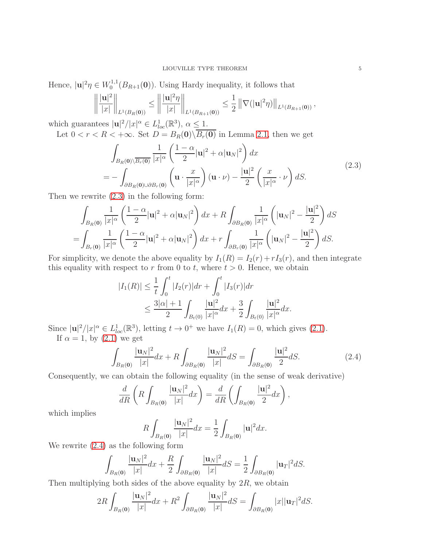Hence,  $|\mathbf{u}|^2 \eta \in W_0^{1,1}$  $\int_0^{1,1} (B_{R+1}(\mathbf{0}))$ . Using Hardy inequality, it follows that

$$
\left\| \frac{|{\bf u}|^2}{|x|} \right\|_{L^1(B_R({\bf 0}))} \le \left\| \frac{|{\bf u}|^2 \eta}{|x|} \right\|_{L^1(B_{R+1}({\bf 0}))} \le \frac{1}{2} \left\| \nabla (|{\bf u}|^2 \eta) \right\|_{L^1(B_{R+1}({\bf 0}))},
$$

which guarantees  $|\mathbf{u}|^2/|x|^{\alpha} \in L^1_{loc}(\mathbb{R}^3)$ ,  $\alpha \leq 1$ .

Let  $0 < r < R < +\infty$ . Set  $D = B_R(0) \backslash B_r(0)$  in Lemma [2.1,](#page-3-1) then we get

<span id="page-4-0"></span>
$$
\int_{B_R(0)\setminus\overline{B_r(0)}} \frac{1}{|x|^{\alpha}} \left(\frac{1-\alpha}{2}|\mathbf{u}|^2 + \alpha |\mathbf{u}_N|^2\right) dx
$$
\n
$$
= -\int_{\partial B_R(0)\cup\partial B_r(0)} \left(\mathbf{u} \cdot \frac{x}{|x|^{\alpha}}\right) (\mathbf{u} \cdot \nu) - \frac{|\mathbf{u}|^2}{2} \left(\frac{x}{|x|^{\alpha}} \cdot \nu\right) dS. \tag{2.3}
$$

Then we rewrite [\(2.3\)](#page-4-0) in the following form:

$$
\int_{B_R(\mathbf{0})} \frac{1}{|x|^{\alpha}} \left(\frac{1-\alpha}{2} |\mathbf{u}|^2 + \alpha |\mathbf{u}_N|^2\right) dx + R \int_{\partial B_R(\mathbf{0})} \frac{1}{|x|^{\alpha}} \left(|\mathbf{u}_N|^2 - \frac{|\mathbf{u}|^2}{2}\right) dS
$$
  
= 
$$
\int_{B_r(\mathbf{0})} \frac{1}{|x|^{\alpha}} \left(\frac{1-\alpha}{2} |\mathbf{u}|^2 + \alpha |\mathbf{u}_N|^2\right) dx + r \int_{\partial B_r(\mathbf{0})} \frac{1}{|x|^{\alpha}} \left(|\mathbf{u}_N|^2 - \frac{|\mathbf{u}|^2}{2}\right) dS.
$$

For simplicity, we denote the above equality by  $I_1(R) = I_2(r) + rI_3(r)$ , and then integrate this equality with respect to r from 0 to t, where  $t > 0$ . Hence, we obtain

$$
|I_1(R)| \le \frac{1}{t} \int_0^t |I_2(r)| dr + \int_0^t |I_3(r)| dr
$$
  

$$
\le \frac{3|\alpha|+1}{2} \int_{B_t(0)} \frac{|\mathbf{u}|^2}{|x|^{\alpha}} dx + \frac{3}{2} \int_{B_t(0)} \frac{|\mathbf{u}|^2}{|x|^{\alpha}} dx.
$$

Since  $|\mathbf{u}|^2/|x|^\alpha \in L^1_{loc}(\mathbb{R}^3)$ , letting  $t \to 0^+$  we have  $I_1(R) = 0$ , which gives [\(2.1\)](#page-3-2). If  $\alpha = 1$ , by  $(2.1)$  we get

<span id="page-4-1"></span>
$$
\int_{B_R(0)} \frac{|\mathbf{u}_N|^2}{|x|} dx + R \int_{\partial B_R(0)} \frac{|\mathbf{u}_N|^2}{|x|} dS = \int_{\partial B_R(0)} \frac{|\mathbf{u}|^2}{2} dS. \tag{2.4}
$$

Consequently, we can obtain the following equality (in the sense of weak derivative)

$$
\frac{d}{dR}\left(R\int_{B_R(0)}\frac{|\mathbf{u}_N|^2}{|x|}dx\right)=\frac{d}{dR}\left(\int_{B_R(0)}\frac{|\mathbf{u}|^2}{2}dx\right),\,
$$

which implies

$$
R\int_{B_R(0)}\frac{|\mathbf{u}_N|^2}{|x|}dx = \frac{1}{2}\int_{B_R(0)}|\mathbf{u}|^2dx.
$$

We rewrite [\(2.4\)](#page-4-1) as the following form

$$
\int_{B_R(0)} \frac{|\mathbf{u}_N|^2}{|x|} dx + \frac{R}{2} \int_{\partial B_R(0)} \frac{|\mathbf{u}_N|^2}{|x|} dS = \frac{1}{2} \int_{\partial B_R(0)} |\mathbf{u}_T|^2 dS.
$$

Then multiplying both sides of the above equality by  $2R$ , we obtain

$$
2R\int_{B_R(0)}\frac{|\mathbf{u}_N|^2}{|x|}dx + R^2\int_{\partial B_R(0)}\frac{|\mathbf{u}_N|^2}{|x|}dS = \int_{\partial B_R(0)}|x||\mathbf{u}_T|^2dS.
$$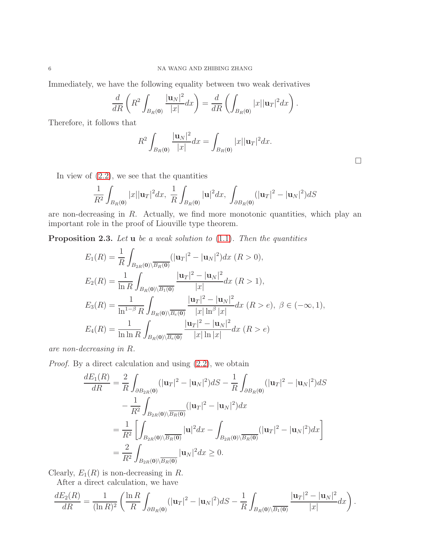Immediately, we have the following equality between two weak derivatives

$$
\frac{d}{dR}\left(R^2\int_{B_R(0)}\frac{|\mathbf{u}_N|^2}{|x|}dx\right)=\frac{d}{dR}\left(\int_{B_R(0)}|x||\mathbf{u}_T|^2dx\right).
$$

Therefore, it follows that

$$
R^{2} \int_{B_{R}(\mathbf{0})} \frac{|\mathbf{u}_{N}|^{2}}{|x|} dx = \int_{B_{R}(\mathbf{0})} |x| |\mathbf{u}_{T}|^{2} dx.
$$

 $\Box$ 

In view of  $(2.2)$ , we see that the quantities

$$
\frac{1}{R^2} \int_{B_R(0)} |x| |\mathbf{u}_T|^2 dx, \frac{1}{R} \int_{B_R(0)} |\mathbf{u}|^2 dx, \int_{\partial B_R(0)} (|\mathbf{u}_T|^2 - |\mathbf{u}_N|^2) dS
$$

are non-decreasing in R. Actually, we find more monotonic quantities, which play an important role in the proof of Liouville type theorem.

<span id="page-5-0"></span>**Proposition 2.3.** Let  $\bf{u}$  be a weak solution to [\(1.1\)](#page-0-0). Then the quantities

$$
E_1(R) = \frac{1}{R} \int_{B_{2R}(0) \setminus \overline{B_R(0)}} (|\mathbf{u}_T|^2 - |\mathbf{u}_N|^2) dx \ (R > 0),
$$
  
\n
$$
E_2(R) = \frac{1}{\ln R} \int_{B_R(0) \setminus \overline{B_1(0)}} \frac{|\mathbf{u}_T|^2 - |\mathbf{u}_N|^2}{|x|} dx \ (R > 1),
$$
  
\n
$$
E_3(R) = \frac{1}{\ln^{1-\beta} R} \int_{B_R(0) \setminus \overline{B_e(0)}} \frac{|\mathbf{u}_T|^2 - |\mathbf{u}_N|^2}{|x| \ln^{\beta} |x|} dx \ (R > e), \ \beta \in (-\infty, 1),
$$
  
\n
$$
E_4(R) = \frac{1}{\ln \ln R} \int_{B_R(0) \setminus \overline{B_e(0)}} \frac{|\mathbf{u}_T|^2 - |\mathbf{u}_N|^2}{|x| \ln |x|} dx \ (R > e)
$$

are non-decreasing in R.

Proof. By a direct calculation and using [\(2.2\)](#page-3-0), we obtain

$$
\frac{dE_1(R)}{dR} = \frac{2}{R} \int_{\partial B_{2R}(0)} (|\mathbf{u}_T|^2 - |\mathbf{u}_N|^2) dS - \frac{1}{R} \int_{\partial B_R(0)} (|\mathbf{u}_T|^2 - |\mathbf{u}_N|^2) dS
$$

$$
- \frac{1}{R^2} \int_{B_{2R}(0) \setminus \overline{B_R(0)}} (|\mathbf{u}_T|^2 - |\mathbf{u}_N|^2) dx
$$

$$
= \frac{1}{R^2} \left[ \int_{B_{2R}(0) \setminus \overline{B_R(0)}} |\mathbf{u}|^2 dx - \int_{B_{2R}(0) \setminus \overline{B_R(0)}} (|\mathbf{u}_T|^2 - |\mathbf{u}_N|^2) dx \right]
$$

$$
= \frac{2}{R^2} \int_{B_{2R}(0) \setminus \overline{B_R(0)}} |\mathbf{u}_N|^2 dx \ge 0.
$$

Clearly,  $E_1(R)$  is non-decreasing in R.

After a direct calculation, we have

$$
\frac{dE_2(R)}{dR} = \frac{1}{(\ln R)^2} \left( \frac{\ln R}{R} \int_{\partial B_R(\mathbf{0})} (|\mathbf{u}_T|^2 - |\mathbf{u}_N|^2) dS - \frac{1}{R} \int_{B_R(\mathbf{0}) \setminus \overline{B_1(\mathbf{0})}} \frac{|\mathbf{u}_T|^2 - |\mathbf{u}_N|^2}{|x|} dx \right).
$$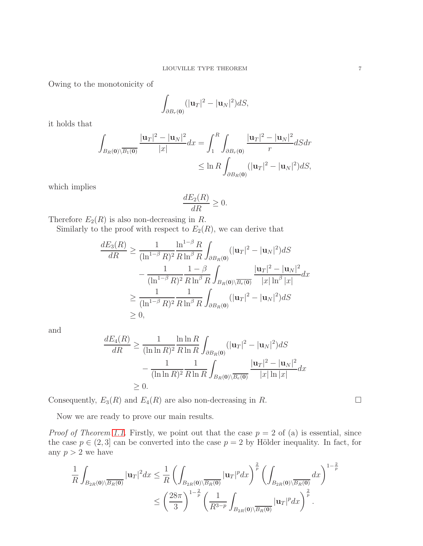Owing to the monotonicity of

$$
\int_{\partial B_r(\mathbf{0})} (|\mathbf{u}_T|^2 - |\mathbf{u}_N|^2) dS,
$$

it holds that

$$
\int_{B_R(0)\setminus\overline{B_1(0)}} \frac{|\mathbf{u}_T|^2 - |\mathbf{u}_N|^2}{|x|} dx = \int_1^R \int_{\partial B_r(0)} \frac{|\mathbf{u}_T|^2 - |\mathbf{u}_N|^2}{r} dS dr
$$
  

$$
\leq \ln R \int_{\partial B_R(0)} (|\mathbf{u}_T|^2 - |\mathbf{u}_N|^2) dS,
$$

which implies

$$
\frac{dE_2(R)}{dR} \ge 0.
$$

Therefore  $E_2(R)$  is also non-decreasing in R.

Similarly to the proof with respect to  $E_2(R)$ , we can derive that

$$
\frac{dE_3(R)}{dR} \ge \frac{1}{(\ln^{1-\beta} R)^2} \frac{\ln^{1-\beta} R}{R \ln^{\beta} R} \int_{\partial B_R(0)} (|\mathbf{u}_T|^2 - |\mathbf{u}_N|^2) dS
$$

$$
- \frac{1}{(\ln^{1-\beta} R)^2} \frac{1-\beta}{R \ln^{\beta} R} \int_{B_R(0) \setminus \overline{B_e(0)}} \frac{|\mathbf{u}_T|^2 - |\mathbf{u}_N|^2}{|x| \ln^{\beta} |x|} dx
$$

$$
\ge \frac{1}{(\ln^{1-\beta} R)^2} \frac{1}{R \ln^{\beta} R} \int_{\partial B_R(0)} (|\mathbf{u}_T|^2 - |\mathbf{u}_N|^2) dS
$$

$$
\ge 0,
$$

and

$$
\frac{dE_4(R)}{dR} \ge \frac{1}{(\ln \ln R)^2} \frac{\ln \ln R}{R \ln R} \int_{\partial B_R(\mathbf{0})} (|\mathbf{u}_T|^2 - |\mathbf{u}_N|^2) dS
$$

$$
- \frac{1}{(\ln \ln R)^2} \frac{1}{R \ln R} \int_{B_R(\mathbf{0}) \setminus \overline{B_e(\mathbf{0})}} \frac{|\mathbf{u}_T|^2 - |\mathbf{u}_N|^2}{|x| \ln |x|} dx
$$

$$
\ge 0.
$$

Consequently,  $E_3(R)$  and  $E_4(R)$  are also non-decreasing in R.

Now we are ready to prove our main results.

*Proof of Theorem [1.1.](#page-1-2)* Firstly, we point out that the case  $p = 2$  of (a) is essential, since the case  $p \in (2,3]$  can be converted into the case  $p = 2$  by Hölder inequality. In fact, for any  $p > 2$  we have

$$
\frac{1}{R} \int_{B_{2R}(0)\setminus \overline{B_R(0)}} |\mathbf{u}_T|^2 dx \leq \frac{1}{R} \left( \int_{B_{2R}(0)\setminus \overline{B_R(0)}} |\mathbf{u}_T|^p dx \right)^{\frac{2}{p}} \left( \int_{B_{2R}(0)\setminus \overline{B_R(0)}} dx \right)^{1-\frac{2}{p}} \leq \left( \frac{28\pi}{3} \right)^{1-\frac{2}{p}} \left( \frac{1}{R^{3-p}} \int_{B_{2R}(0)\setminus \overline{B_R(0)}} |\mathbf{u}_T|^p dx \right)^{\frac{2}{p}}.
$$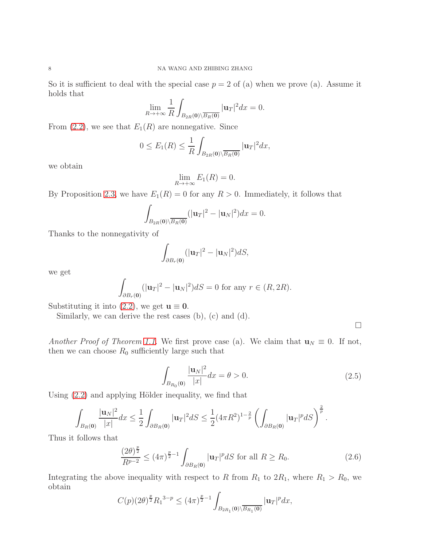So it is sufficient to deal with the special case  $p = 2$  of (a) when we prove (a). Assume it holds that

$$
\lim_{R\to+\infty}\frac{1}{R}\int_{B_{2R}(\mathbf{0})\setminus\overline{B_R(\mathbf{0})}}|\mathbf{u}_T|^2dx=0.
$$

From [\(2.2\)](#page-3-0), we see that  $E_1(R)$  are nonnegative. Since

$$
0 \le E_1(R) \le \frac{1}{R} \int_{B_{2R}(\mathbf{0}) \setminus \overline{B_R(\mathbf{0})}} |\mathbf{u}_T|^2 dx,
$$

we obtain

$$
\lim_{R\to+\infty}E_1(R)=0.
$$

By Proposition [2.3,](#page-5-0) we have  $E_1(R) = 0$  for any  $R > 0$ . Immediately, it follows that

$$
\int_{B_{2R}(\mathbf{0})\setminus\overline{B_R(\mathbf{0})}}(|\mathbf{u}_T|^2-|\mathbf{u}_N|^2)dx=0.
$$

Thanks to the nonnegativity of

$$
\int_{\partial B_r(\mathbf{0})} (|\mathbf{u}_T|^2 - |\mathbf{u}_N|^2) dS,
$$

we get

$$
\int_{\partial B_r(\mathbf{0})} (|\mathbf{u}_T|^2 - |\mathbf{u}_N|^2) dS = 0 \text{ for any } r \in (R, 2R).
$$

Substituting it into [\(2.2\)](#page-3-0), we get  $\mathbf{u} \equiv \mathbf{0}$ .

Similarly, we can derive the rest cases (b), (c) and (d).

 $\Box$ 

Another Proof of Theorem [1.1.](#page-1-2) We first prove case (a). We claim that  $\mathbf{u}_N \equiv 0$ . If not, then we can choose  $R_0$  sufficiently large such that

<span id="page-7-0"></span>
$$
\int_{B_{R_0}(0)} \frac{|\mathbf{u}_N|^2}{|x|} dx = \theta > 0.
$$
\n(2.5)

Using  $(2.2)$  and applying Hölder inequality, we find that

$$
\int_{B_R(0)} \frac{|\mathbf{u}_N|^2}{|x|} dx \leq \frac{1}{2} \int_{\partial B_R(0)} |\mathbf{u}_T|^2 dS \leq \frac{1}{2} (4\pi R^2)^{1-\frac{2}{p}} \left( \int_{\partial B_R(0)} |\mathbf{u}_T|^p dS \right)^{\frac{2}{p}}.
$$

Thus it follows that

$$
\frac{(2\theta)^{\frac{p}{2}}}{R^{p-2}} \le (4\pi)^{\frac{p}{2}-1} \int_{\partial B_R(\mathbf{0})} |\mathbf{u}_T|^p dS \text{ for all } R \ge R_0.
$$
 (2.6)

Integrating the above inequality with respect to R from  $R_1$  to  $2R_1$ , where  $R_1 > R_0$ , we obtain

$$
C(p)(2\theta)^{\frac{p}{2}}R_1^{3-p} \le (4\pi)^{\frac{p}{2}-1} \int_{B_{2R_1}(\mathbf{0})\setminus \overline{B_{R_1}(\mathbf{0})}} |\mathbf{u}_T|^p dx,
$$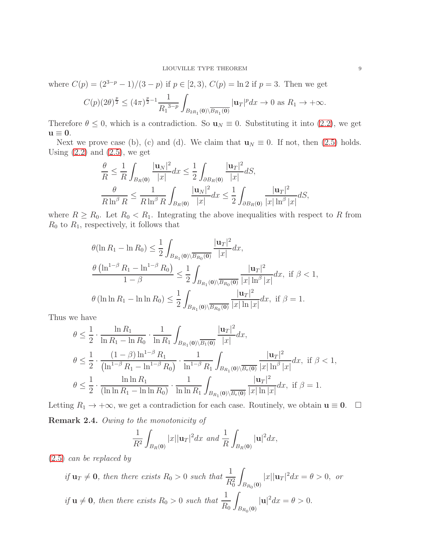where  $C(p) = (2^{3-p} - 1)/(3-p)$  if  $p \in [2,3)$ ,  $C(p) = \ln 2$  if  $p = 3$ . Then we get

$$
C(p)(2\theta)^{\frac{p}{2}} \le (4\pi)^{\frac{p}{2}-1} \frac{1}{R_1^{3-p}} \int_{B_{2R_1}(\mathbf{0}) \setminus \overline{B_{R_1}(\mathbf{0})}} |\mathbf{u}_T|^p dx \to 0 \text{ as } R_1 \to +\infty.
$$

Therefore  $\theta \leq 0$ , which is a contradiction. So  $\mathbf{u}_N \equiv 0$ . Substituting it into [\(2.2\)](#page-3-0), we get  $u \equiv 0.$ 

Next we prove case (b), (c) and (d). We claim that  $\mathbf{u}_N \equiv 0$ . If not, then [\(2.5\)](#page-7-0) holds. Using  $(2.2)$  and  $(2.5)$ , we get

$$
\frac{\theta}{R} \leq \frac{1}{R} \int_{B_R(0)} \frac{|\mathbf{u}_N|^2}{|x|} dx \leq \frac{1}{2} \int_{\partial B_R(0)} \frac{|\mathbf{u}_T|^2}{|x|} dS,
$$
  

$$
\frac{\theta}{R \ln^{\beta} R} \leq \frac{1}{R \ln^{\beta} R} \int_{B_R(0)} \frac{|\mathbf{u}_N|^2}{|x|} dx \leq \frac{1}{2} \int_{\partial B_R(0)} \frac{|\mathbf{u}_T|^2}{|x| \ln^{\beta} |x|} dS,
$$

where  $R \ge R_0$ . Let  $R_0 < R_1$ . Integrating the above inequalities with respect to R from  $R_0$  to  $R_1$ , respectively, it follows that

$$
\theta(\ln R_1 - \ln R_0) \le \frac{1}{2} \int_{B_{R_1}(0) \setminus \overline{B_{R_0}(0)}} \frac{|\mathbf{u}_T|^2}{|x|} dx,
$$
  

$$
\frac{\theta(\ln^{1-\beta} R_1 - \ln^{1-\beta} R_0)}{1-\beta} \le \frac{1}{2} \int_{B_{R_1}(0) \setminus \overline{B_{R_0}(0)}} \frac{|\mathbf{u}_T|^2}{|x| \ln^{\beta} |x|} dx, \text{ if } \beta < 1,
$$
  

$$
\theta(\ln \ln R_1 - \ln \ln R_0) \le \frac{1}{2} \int_{B_{R_1}(0) \setminus \overline{B_{R_0}(0)}} \frac{|\mathbf{u}_T|^2}{|x| \ln |x|} dx, \text{ if } \beta = 1.
$$

Thus we have

$$
\theta \leq \frac{1}{2} \cdot \frac{\ln R_1}{\ln R_1 - \ln R_0} \cdot \frac{1}{\ln R_1} \int_{B_{R_1}(0) \setminus \overline{B_1(0)}} \frac{|\mathbf{u}_T|^2}{|x|} dx,
$$
\n
$$
\theta \leq \frac{1}{2} \cdot \frac{(1-\beta)\ln^{1-\beta} R_1}{(\ln^{1-\beta} R_1 - \ln^{1-\beta} R_0)} \cdot \frac{1}{\ln^{1-\beta} R_1} \int_{B_{R_1}(0) \setminus \overline{B_e(0)}} \frac{|\mathbf{u}_T|^2}{|x| \ln^{\beta} |x|} dx, \text{ if } \beta < 1,
$$
\n
$$
\theta \leq \frac{1}{2} \cdot \frac{\ln \ln R_1}{(\ln \ln R_1 - \ln \ln R_0)} \cdot \frac{1}{\ln \ln R_1} \int_{B_{R_1}(0) \setminus \overline{B_e(0)}} \frac{|\mathbf{u}_T|^2}{|x| \ln |x|} dx, \text{ if } \beta = 1.
$$

Letting  $R_1 \to +\infty$ , we get a contradiction for each case. Routinely, we obtain  $\mathbf{u} \equiv \mathbf{0}$ .  $\Box$ Remark 2.4. Owing to the monotonicity of

$$
\frac{1}{R^2} \int_{B_R(0)} |x| |\mathbf{u}_T|^2 dx \text{ and } \frac{1}{R} \int_{B_R(0)} |\mathbf{u}|^2 dx,
$$

[\(2.5\)](#page-7-0) can be replaced by

if  $\mathbf{u}_T \neq \mathbf{0}$ , then there exists  $R_0 > 0$  such that  $\frac{1}{R_0^2}$ Z  $B_{R_0}(\mathbf{0})$  $|x||\mathbf{u}_T|^2 dx = \theta > 0$ , or if  $u \neq 0$ , then there exists  $R_0 > 0$  such that  $\frac{1}{R_0}$  $R_0$ Z  $B_{R_0}(\mathbf{0})$  $|\mathbf{u}|^2 dx = \theta > 0.$